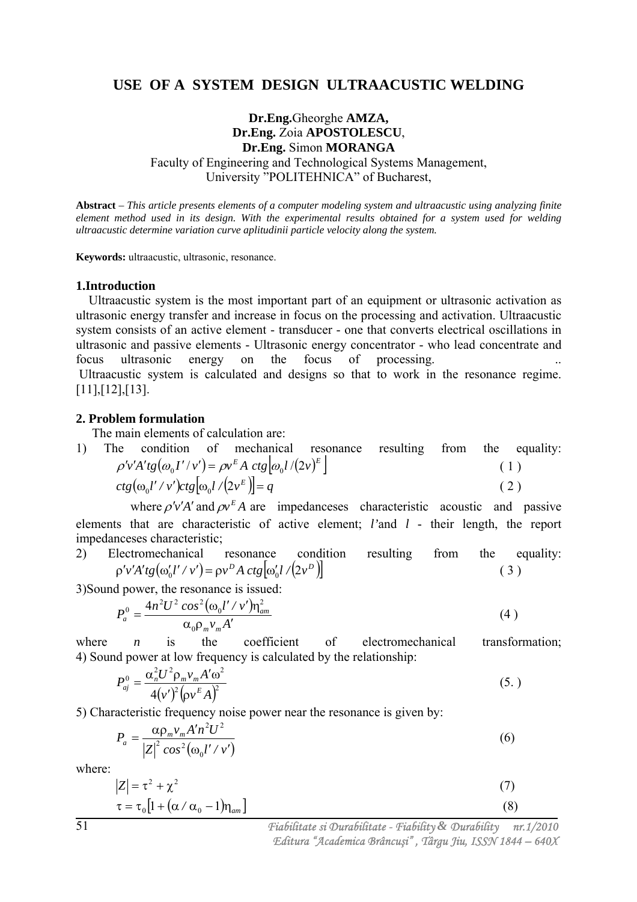### **USE OF A SYSTEM DESIGN ULTRAACUSTIC WELDING**

### **Dr.Eng.**Gheorghe **AMZA, Dr.Eng.** Zoia **APOSTOLESCU**, **Dr.Eng.** Simon **MORANGA** Faculty of Engineering and Technological Systems Management, University "POLITEHNICA" of Bucharest,

**Abstract** *– This article presents elements of a computer modeling system and ultraacustic using analyzing finite element method used in its design. With the experimental results obtained for a system used for welding ultraacustic determine variation curve aplitudinii particle velocity along the system.* 

**Keywords:** ultraacustic, ultrasonic, resonance.

#### **1.Introduction**

 Ultraacustic system is the most important part of an equipment or ultrasonic activation as ultrasonic energy transfer and increase in focus on the processing and activation. Ultraacustic system consists of an active element - transducer - one that converts electrical oscillations in ultrasonic and passive elements - Ultrasonic energy concentrator - who lead concentrate and focus ultrasonic energy on the focus of processing. Ultraacustic system is calculated and designs so that to work in the resonance regime. [11],[12],[13].

#### **2. Problem formulation**

The main elements of calculation are:

1) The condition of mechanical resonance resulting from the equality:  $\rho' v' A' t g(\omega_0 I' / v') = \rho v^E A \ c t g[\omega_0 l / (2v)^E]$  (1)  $ctg(\omega_0 l'/v')ctg[\omega_0 l/(2v^E)] = q$ (2)

where  $\rho'v'A'$  and  $\rho v^E A$  are impedanceses characteristic acoustic and passive elements that are characteristic of active element; *l'*and *l* - their length, the report impedanceses characteristic;

2) Electromechanical resonance condition resulting from the equality:  
\n
$$
\rho'v'A'tg(\omega_0'l'/v') = \rho v^D A ctg[\omega_0' l/(2v^D)]
$$
 (3)

3)Sound power, the resonance is issued:

$$
P_a^0 = \frac{4n^2U^2\cos^2(\omega_0 l' / v')m_{am}^2}{\alpha_0 \rho_m v_m A'}
$$
\n(4)

where *n* is the coefficient of electromechanical transformation; 4) Sound power at low frequency is calculated by the relationship:

$$
P_{aj}^{0} = \frac{\alpha_{n}^{2} U^{2} \rho_{m} v_{m} A' \omega^{2}}{4(v')^{2} (\rho v^{E} A)^{2}}
$$
\n(5.)

5) Characteristic frequency noise power near the resonance is given by:

$$
P_a = \frac{\alpha \rho_m v_m A' n^2 U^2}{\left|Z\right|^2 \cos^2(\omega_0 l' / v')} \tag{6}
$$

where:

$$
|Z| = \tau^2 + \chi^2
$$
  
\n
$$
\tau = \tau_0 \left[ 1 + (\alpha / \alpha_0 - 1) \eta_{am} \right]
$$
 (3)

 *Fiabilitate si Durabilitate - Fiability & Durability nr.1/2010 Editura "Academica Brâncu*ş*i" , Târgu Jiu, ISSN 1844 – 640X*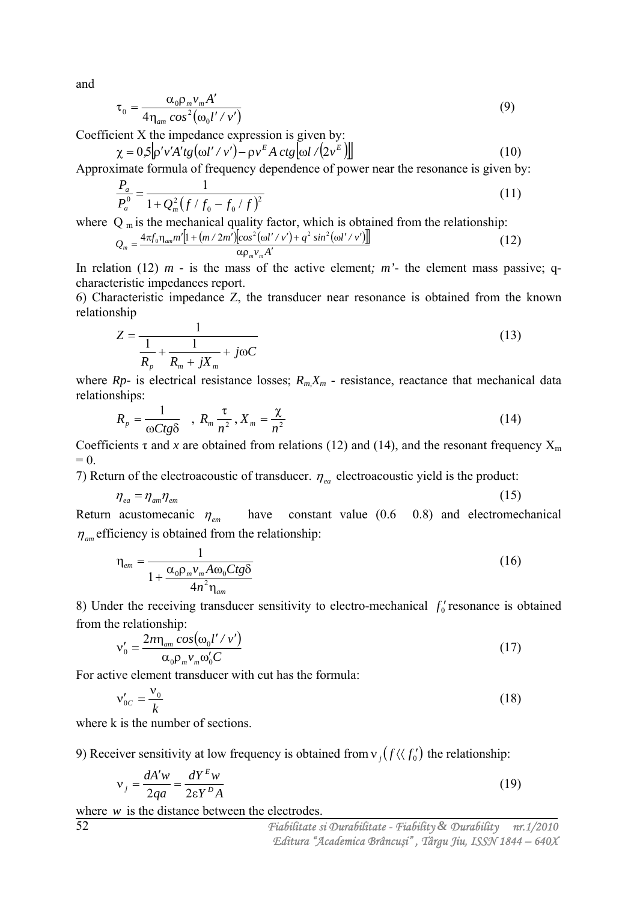and

$$
\tau_0 = \frac{\alpha_0 \rho_m v_m A'}{4 \eta_{am} \cos^2(\omega_0 l' / v')} \tag{9}
$$

Coefficient X the impedance expression is given by:

$$
\chi = 0.5 \left[ \rho' v' A' t g (\omega l' / v') - \rho v^E A \ c t g [\omega l / (2v^E) \right]
$$
\nApproximate formula of frequency depends on a function. (10)

Approximate formula of frequency dependence of power near the resonance is given by:

$$
\frac{P_a}{P_a^0} = \frac{1}{1 + Q_m^2 (f/f_0 - f_0/f)^2}
$$
\n(11)

where  $Q_m$  is the mechanical quality factor, which is obtained from the relationship:

$$
Q_m = \frac{4\pi f_0 \eta_{am} m' [1 + (m/2m')] cos^2(\omega l' / v') + q^2 sin^2(\omega l' / v')]}{\alpha \rho_m v_m A'}
$$
(12)

In relation (12)  $m -$  is the mass of the active element;  $m<sup>2</sup>$  the element mass passive; qcharacteristic impedances report.

6) Characteristic impedance Z, the transducer near resonance is obtained from the known relationship

$$
Z = \frac{1}{\frac{1}{R_p} + \frac{1}{R_m + jX_m} + j\omega C}
$$
 (13)

where  $Rp$ - is electrical resistance losses;  $R_m X_m$  - resistance, reactance that mechanical data relationships:

$$
R_p = \frac{1}{\omega C t g \delta} \quad , \ R_m \frac{\tau}{n^2}, X_m = \frac{\chi}{n^2} \tag{14}
$$

Coefficients  $\tau$  and x are obtained from relations (12) and (14), and the resonant frequency  $X_m$  $= 0.$ 

7) Return of the electroacoustic of transducer.  $\eta_{ea}$  electroacoustic yield is the product:

$$
\eta_{ea} = \eta_{am} \eta_{em} \tag{15}
$$

Return acustomecanic  $\eta_{em}$  have constant value (0.6 0.8) and electromechanical  $\eta_{\mu}$  efficiency is obtained from the relationship:

$$
\eta_{em} = \frac{1}{1 + \frac{\alpha_0 \rho_m v_m A \omega_0 C t g \delta}{4 n^2 \eta_{am}}}
$$
(16)

8) Under the receiving transducer sensitivity to electro-mechanical  $f_0$  resonance is obtained from the relationship:

$$
v'_{0} = \frac{2n \eta_{am} \cos(\omega_{0} l'/v')}{\alpha_{0} \rho_{m} v_{m} \omega'_{0} C}
$$
 (17)

For active element transducer with cut has the formula:

$$
v'_{0C} = \frac{v_0}{k} \tag{18}
$$

where k is the number of sections.

9) Receiver sensitivity at low frequency is obtained from  $v_j(f \langle f'_0 \rangle)$  the relationship:

$$
v_j = \frac{dA'w}{2qa} = \frac{dY^E w}{2\epsilon Y^D A}
$$
 (19)

where *w* is the distance between the electrodes.

52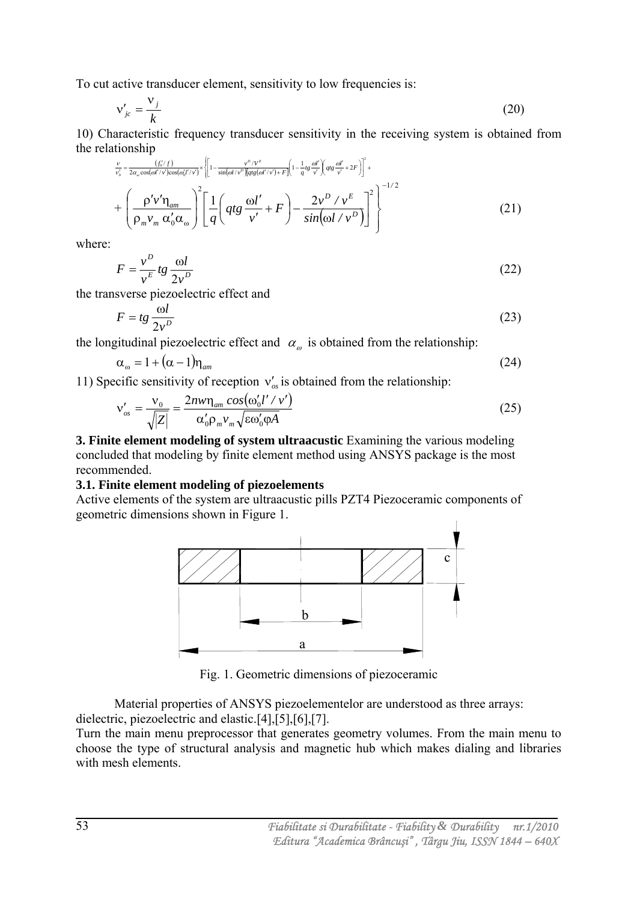To cut active transducer element, sensitivity to low frequencies is:

$$
v'_{jc} = \frac{v_j}{k} \tag{20}
$$

10) Characteristic frequency transducer sensitivity in the receiving system is obtained from the relationship

$$
\frac{\nu}{\nu_o} = \frac{(f_o'/f)}{2\alpha_o \cos(\omega l'/\nu)\cos(\omega_o l'/\nu)} \times \left[1 - \frac{\nu^o/\nu^e}{\sin(\omega l/\nu^o)\left[\arg(\omega l'/\nu') + F\right]}\left(1 - \frac{1}{q}tg\frac{\omega l'}{\nu'}\right) \left(qtg\frac{\omega l'}{\nu} + 2F\right)\right]^2 +
$$
\n
$$
+ \left(\frac{\rho' \nu' \eta_{am}}{\rho_m \nu_m} \frac{\omega'_0}{\alpha'_0 \alpha_\omega}\right)^2 \left[\frac{1}{q} \left(qtg\frac{\omega l'}{\nu'} + F\right) - \frac{2\nu^D/\nu^E}{\sin(\omega l/\nu^D)}\right]^2\right]^{-1/2}
$$
\n(21)

where:

$$
F = \frac{v^D}{v^E} t g \frac{\omega l}{2v^D} \tag{22}
$$

the transverse piezoelectric effect and

$$
F = tg \frac{\omega l}{2v^D} \tag{23}
$$

the longitudinal piezoelectric effect and  $\alpha_{\omega}$  is obtained from the relationship:

$$
\alpha_{\omega} = 1 + (\alpha - 1)\eta_{am} \tag{24}
$$

11) Specific sensitivity of reception  $v'_{\alpha}$  is obtained from the relationship:

$$
\mathbf{v}'_{os} = \frac{\mathbf{v}_0}{\sqrt{|Z|}} = \frac{2n w \eta_{am} \cos(\omega_0' l' / v')}{\alpha_0' \rho_m v_m \sqrt{\varepsilon \omega_0' \rho A}}
$$
(25)

**3. Finite element modeling of system ultraacustic** Examining the various modeling concluded that modeling by finite element method using ANSYS package is the most recommended.

#### **3.1. Finite element modeling of piezoelements**

Active elements of the system are ultraacustic pills PZT4 Piezoceramic components of geometric dimensions shown in Figure 1.



Fig. 1. Geometric dimensions of piezoceramic

 Material properties of ANSYS piezoelementelor are understood as three arrays: dielectric, piezoelectric and elastic.[4],[5],[6],[7].

Turn the main menu preprocessor that generates geometry volumes. From the main menu to choose the type of structural analysis and magnetic hub which makes dialing and libraries with mesh elements.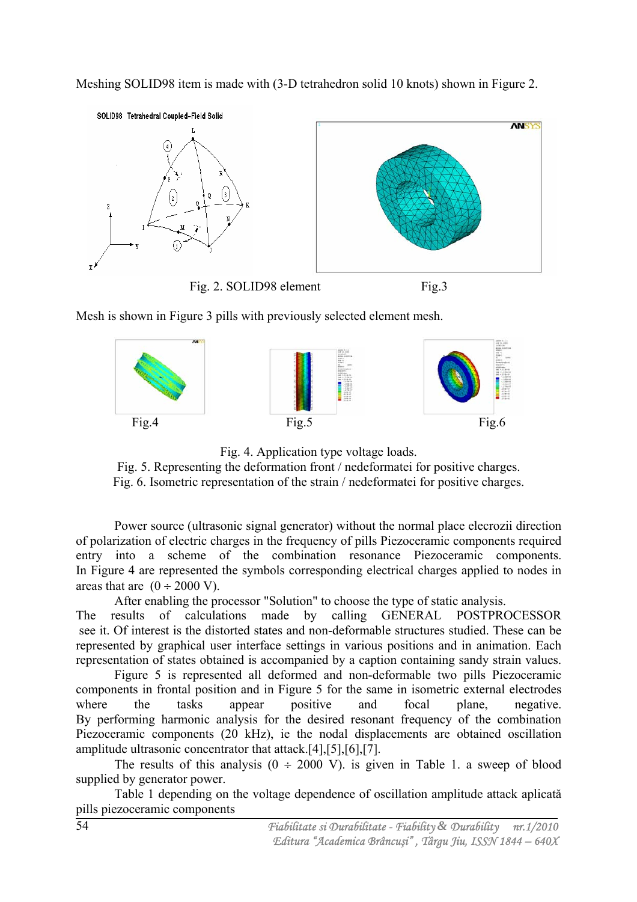Meshing SOLID98 item is made with (3-D tetrahedron solid 10 knots) shown in Figure 2.



Mesh is shown in Figure 3 pills with previously selected element mesh.



Fig. 4. Application type voltage loads.

Fig. 5. Representing the deformation front / nedeformatei for positive charges. Fig. 6. Isometric representation of the strain / nedeformatei for positive charges.

 Power source (ultrasonic signal generator) without the normal place elecrozii direction of polarization of electric charges in the frequency of pills Piezoceramic components required entry into a scheme of the combination resonance Piezoceramic components. In Figure 4 are represented the symbols corresponding electrical charges applied to nodes in areas that are  $(0 \div 2000 \text{ V})$ .

After enabling the processor "Solution" to choose the type of static analysis.

The results of calculations made by calling GENERAL POSTPROCESSOR see it. Of interest is the distorted states and non-deformable structures studied. These can be represented by graphical user interface settings in various positions and in animation. Each representation of states obtained is accompanied by a caption containing sandy strain values.

 Figure 5 is represented all deformed and non-deformable two pills Piezoceramic components in frontal position and in Figure 5 for the same in isometric external electrodes where the tasks appear positive and focal plane, negative. By performing harmonic analysis for the desired resonant frequency of the combination Piezoceramic components (20 kHz), ie the nodal displacements are obtained oscillation amplitude ultrasonic concentrator that attack.[4],[5],[6],[7].

The results of this analysis  $(0 \div 2000 \text{ V})$ . is given in Table 1. a sweep of blood supplied by generator power.

 Table 1 depending on the voltage dependence of oscillation amplitude attack aplicatǎ pills piezoceramic components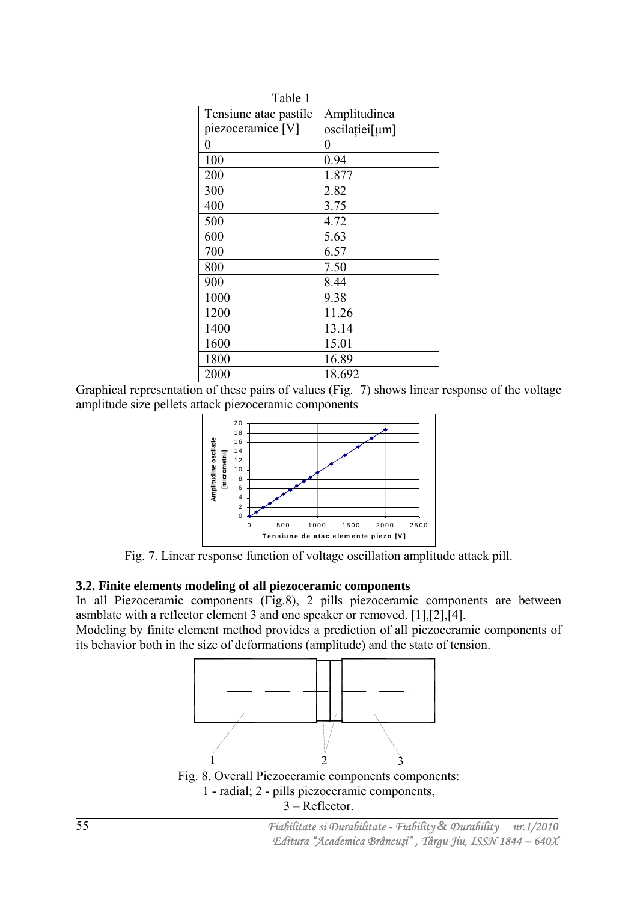| Table 1               |                  |  |
|-----------------------|------------------|--|
| Tensiune atac pastile | Amplitudinea     |  |
| piezoceramice [V]     | oscilației[µm]   |  |
| $\theta$              | $\boldsymbol{0}$ |  |
| 100                   | 0.94             |  |
| 200                   | 1.877            |  |
| 300                   | 2.82             |  |
| 400                   | 3.75             |  |
| 500                   | 4.72             |  |
| 600                   | 5.63             |  |
| 700                   | 6.57             |  |
| 800                   | 7.50             |  |
| 900                   | 8.44             |  |
| 1000                  | 9.38             |  |
| 1200                  | 11.26            |  |
| 1400                  | 13.14            |  |
| 1600                  | 15.01            |  |
| 1800                  | 16.89            |  |
| 2000                  | 18.692           |  |

Graphical representation of these pairs of values (Fig. 7) shows linear response of the voltage amplitude size pellets attack piezoceramic components



Fig. 7. Linear response function of voltage oscillation amplitude attack pill.

### **3.2. Finite elements modeling of all piezoceramic components**

In all Piezoceramic components (Fig.8), 2 pills piezoceramic components are between asmblate with a reflector element 3 and one speaker or removed. [1],[2],[4].

Modeling by finite element method provides a prediction of all piezoceramic components of its behavior both in the size of deformations (amplitude) and the state of tension.



1 - radial; 2 - pills piezoceramic components, 3 – Reflector.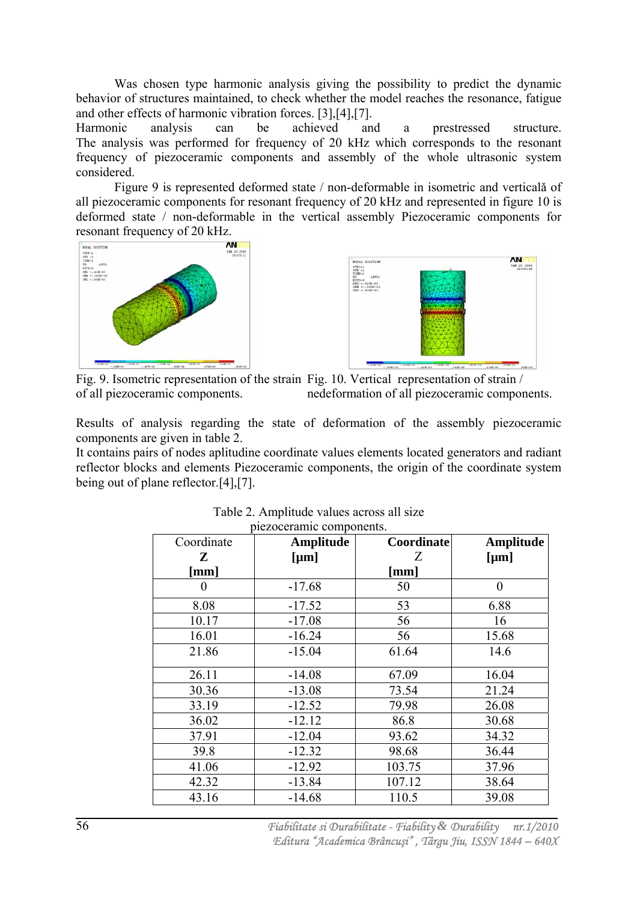Was chosen type harmonic analysis giving the possibility to predict the dynamic behavior of structures maintained, to check whether the model reaches the resonance, fatigue and other effects of harmonic vibration forces. [3],[4],[7].

Harmonic analysis can be achieved and a prestressed structure. The analysis was performed for frequency of 20 kHz which corresponds to the resonant frequency of piezoceramic components and assembly of the whole ultrasonic system considered.

Figure 9 is represented deformed state / non-deformable in isometric and verticală of all piezoceramic components for resonant frequency of 20 kHz and represented in figure 10 is deformed state / non-deformable in the vertical assembly Piezoceramic components for resonant frequency of 20 kHz.





 Fig. 9. Isometric representation of the strain Fig. 10. Vertical representation of strain / of all piezoceramic components. nedeformation of all piezoceramic components.

Results of analysis regarding the state of deformation of the assembly piezoceramic components are given in table 2.

It contains pairs of nodes aplitudine coordinate values elements located generators and radiant reflector blocks and elements Piezoceramic components, the origin of the coordinate system being out of plane reflector.[4],[7].

| Coordinate | Amplitude | Coordinate | Amplitude |
|------------|-----------|------------|-----------|
| ${\bf Z}$  | [µm]      | Ζ          | [µm]      |
| [mm]       |           | [mm]       |           |
| 0          | $-17.68$  | 50         | $\theta$  |
| 8.08       | $-17.52$  | 53         | 6.88      |
| 10.17      | $-17.08$  | 56         | 16        |
| 16.01      | $-16.24$  | 56         | 15.68     |
| 21.86      | $-15.04$  | 61.64      | 14.6      |
| 26.11      | $-14.08$  | 67.09      | 16.04     |
| 30.36      | $-13.08$  | 73.54      | 21.24     |
| 33.19      | $-12.52$  | 79.98      | 26.08     |
| 36.02      | $-12.12$  | 86.8       | 30.68     |
| 37.91      | $-12.04$  | 93.62      | 34.32     |
| 39.8       | $-12.32$  | 98.68      | 36.44     |
| 41.06      | $-12.92$  | 103.75     | 37.96     |
| 42.32      | $-13.84$  | 107.12     | 38.64     |
| 43.16      | $-14.68$  | 110.5      | 39.08     |

Table 2. Amplitude values across all size piezoceramic components.

 *Fiabilitate si Durabilitate - Fiability & Durability nr.1/2010 Editura "Academica Brâncu*ş*i" , Târgu Jiu, ISSN 1844 – 640X*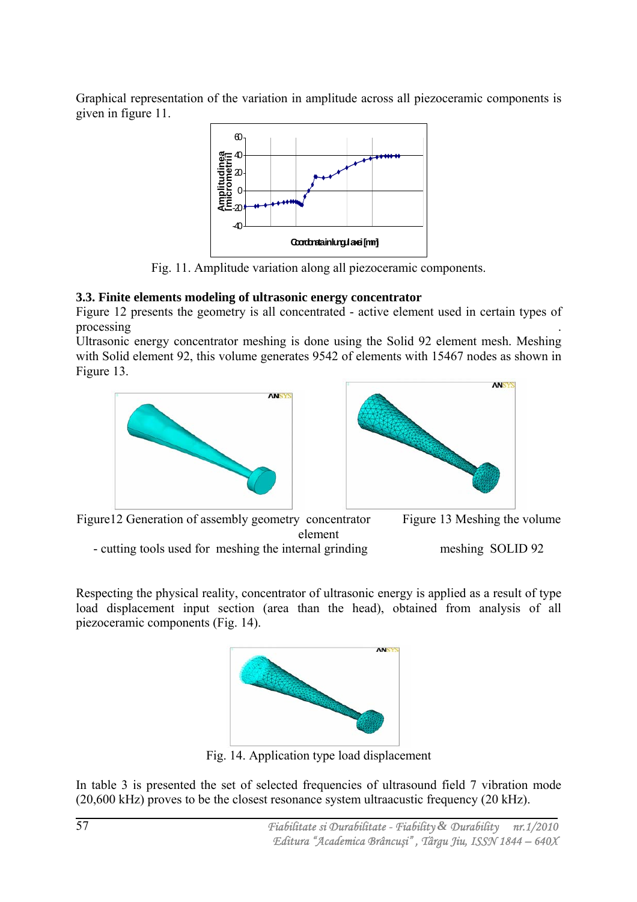Graphical representation of the variation in amplitude across all piezoceramic components is given in figure 11.



Fig. 11. Amplitude variation along all piezoceramic components.

# **3.3. Finite elements modeling of ultrasonic energy concentrator**

Figure 12 presents the geometry is all concentrated - active element used in certain types of processing .

Ultrasonic energy concentrator meshing is done using the Solid 92 element mesh. Meshing with Solid element 92, this volume generates 9542 of elements with 15467 nodes as shown in Figure 13.







Respecting the physical reality, concentrator of ultrasonic energy is applied as a result of type load displacement input section (area than the head), obtained from analysis of all piezoceramic components (Fig. 14).



Fig. 14. Application type load displacement

In table 3 is presented the set of selected frequencies of ultrasound field 7 vibration mode (20,600 kHz) proves to be the closest resonance system ultraacustic frequency (20 kHz).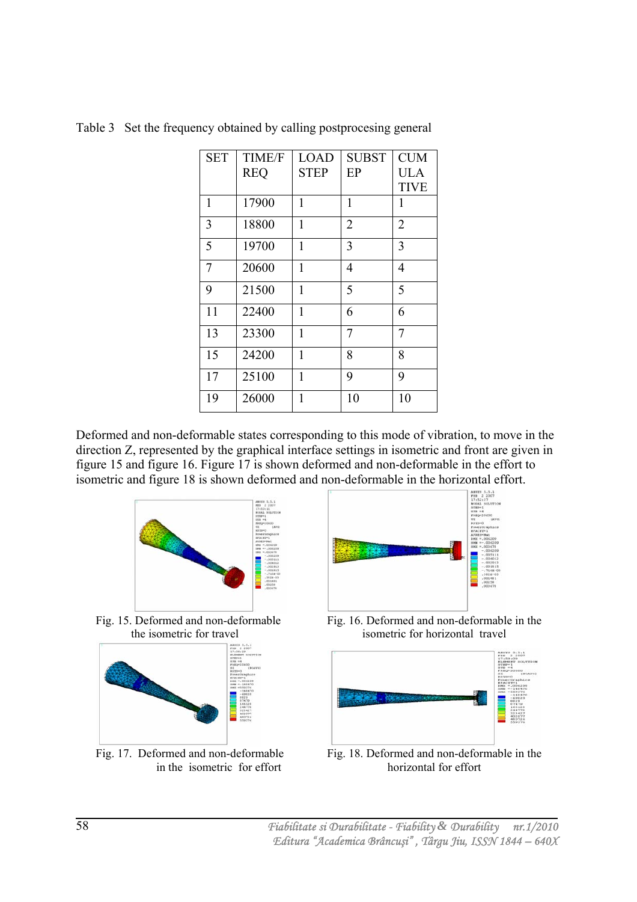| <b>SET</b> | <b>TIME/F</b> | <b>LOAD</b>  | <b>SUBST</b>   | <b>CUM</b>     |
|------------|---------------|--------------|----------------|----------------|
|            | <b>REQ</b>    | <b>STEP</b>  | EP             | <b>ULA</b>     |
|            |               |              |                | <b>TIVE</b>    |
| 1          | 17900         | 1            | 1              | 1              |
| 3          | 18800         | 1            | $\overline{2}$ | $\overline{2}$ |
| 5          | 19700         | 1            | 3              | 3              |
| 7          | 20600         | 1            | 4              | 4              |
| 9          | 21500         | 1            | 5              | 5              |
| 11         | 22400         | 1            | 6              | 6              |
| 13         | 23300         | 1            | 7              | 7              |
| 15         | 24200         | $\mathbf{1}$ | 8              | 8              |
| 17         | 25100         | 1            | 9              | 9              |
| 19         | 26000         | 1            | 10             | 10             |

Table 3 Set the frequency obtained by calling postprocesing general

Deformed and non-deformable states corresponding to this mode of vibration, to move in the direction Z, represented by the graphical interface settings in isometric and front are given in figure 15 and figure 16. Figure 17 is shown deformed and non-deformable in the effort to isometric and figure 18 is shown deformed and non-deformable in the horizontal effort.







Fig. 15. Deformed and non-deformable Fig. 16. Deformed and non-deformable in the the isometric for travel isometric for horizontal travel



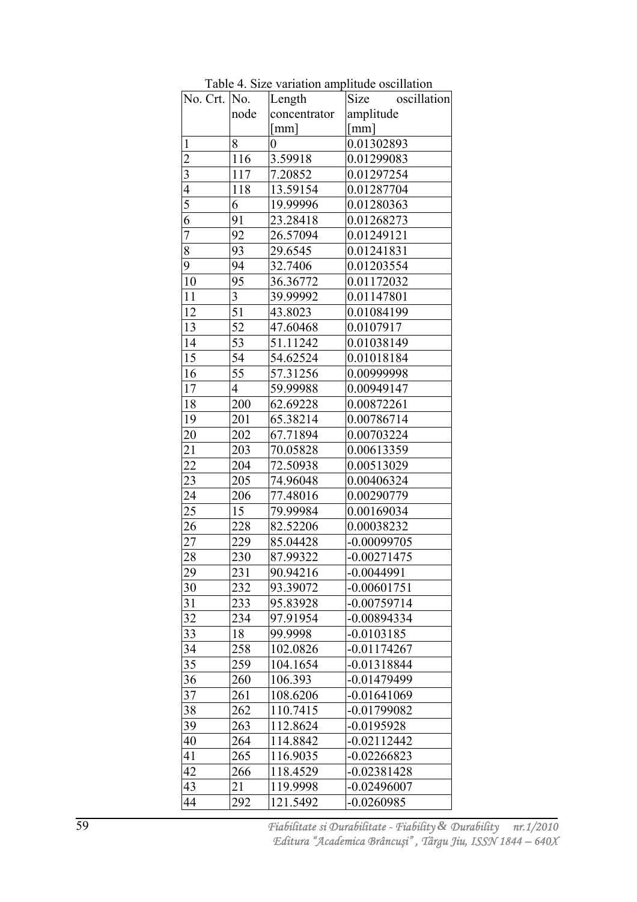| No. Crt. No.            |      | Length               | Size<br>oscillation  |
|-------------------------|------|----------------------|----------------------|
|                         | node | concentrator         | amplitude            |
|                         |      | $\lceil$ mm $\rceil$ | $\lceil$ mm $\rceil$ |
| $\mathbf{1}$            | 8    | 0                    | 0.01302893           |
| $\overline{2}$          | 116  | 3.59918              | 0.01299083           |
| $\overline{\mathbf{3}}$ | 117  | 7.20852              | 0.01297254           |
| $\overline{4}$          | 118  | 13.59154             | 0.01287704           |
|                         | 6    | 19.99996             | 0.01280363           |
| $\frac{5}{6}$           | 91   | 23.28418             | 0.01268273           |
| 7                       | 92   | 26.57094             | 0.01249121           |
| $\overline{8}$          | 93   | 29.6545              | 0.01241831           |
| 9                       | 94   | 32.7406              | 0.01203554           |
| 10                      | 95   | 36.36772             | 0.01172032           |
| 11                      | 3    | 39.99992             | 0.01147801           |
| 12                      | 51   | 43.8023              | 0.01084199           |
| 13                      | 52   | 47.60468             | 0.0107917            |
| 14                      | 53   | 51.11242             | 0.01038149           |
| 15                      | 54   | 54.62524             | 0.01018184           |
| 16                      | 55   | 57.31256             | 0.00999998           |
| 17                      | 4    | 59.99988             | 0.00949147           |
| 18                      | 200  | 62.69228             | 0.00872261           |
| 19                      | 201  | 65.38214             | 0.00786714           |
| 20                      | 202  | 67.71894             | 0.00703224           |
| 21                      | 203  | 70.05828             | 0.00613359           |
| 22                      | 204  | 72.50938             | 0.00513029           |
| 23                      | 205  | 74.96048             | 0.00406324           |
| 24                      | 206  | 77.48016             | 0.00290779           |
| 25                      | 15   | 79.99984             | 0.00169034           |
| 26                      | 228  | 82.52206             | 0.00038232           |
| 27                      | 229  | 85.04428             | $-0.00099705$        |
| 28                      | 230  | 87.99322             | $-0.00271475$        |
| 29                      | 231  | 90.94216             | $-0.0044991$         |
| 30                      | 232  | 93.39072             | -0.00601751          |
| 31                      | 233  | 95.83928             | $-0.00759714$        |
| 32                      | 234  | 97.91954             | -0.00894334          |
| 33                      | 18   | 99.9998              | $-0.0103185$         |
| 34                      | 258  | 102.0826             | -0.01174267          |
| 35                      | 259  | 104.1654             | $-0.01318844$        |
| 36                      | 260  | 106.393              | -0.01479499          |
| 37                      | 261  | 108.6206             | $-0.01641069$        |
| 38                      | 262  | 110.7415             | -0.01799082          |
| 39                      | 263  | 112.8624             | -0.0195928           |
| 40                      | 264  | 114.8842             | $-0.02112442$        |
| 41                      | 265  | 116.9035             | -0.02266823          |
| 42                      | 266  | 118.4529             | $-0.02381428$        |
| 43                      | 21   | 119.9998             | $-0.02496007$        |
| 44                      | 292  | 121.5492             | $-0.0260985$         |

Table 4. Size variation amplitude oscillation

 *Fiabilitate si Durabilitate - Fiability & Durability nr.1/2010 Editura "Academica Brâncu*ş*i" , Târgu Jiu, ISSN 1844 – 640X*